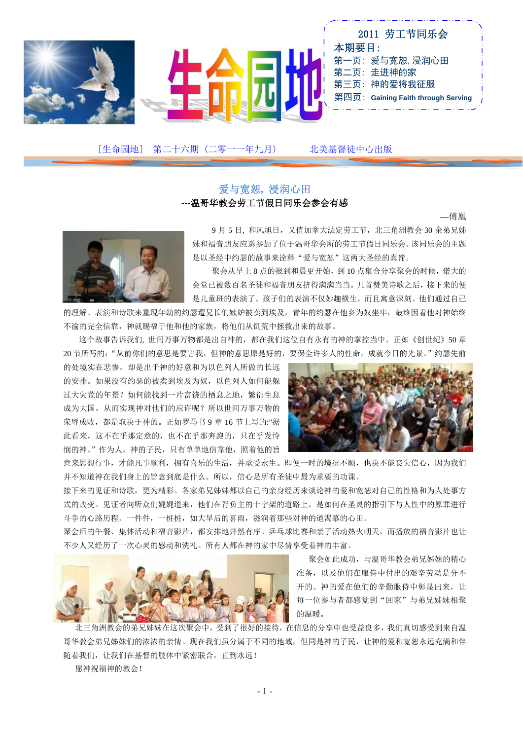

[生命园地] 第二十六期 (二零一一年九月) 北美基督徒中心出版

### 爱与宽恕**,** 浸润心田 **---**温哥华教会劳工节假日同乐会参会有感

—傅凰



 9 月 5 日, 和风旭日,又值加拿大法定劳工节,北三角洲教会 30 余弟兄姊 妹和福音朋友应邀参加了位于温哥华会所的劳工节假日同乐会。该同乐会的主题 是以圣经中约瑟的故事来诠释"爱与宽恕"这两大圣经的真谛。

聚会从早上 8 点的报到和晨更开始, 到 10 点集合分享聚会的时候, 偌大的 会堂已被数百名圣徒和福音朋友挤得满满当当。几首赞美诗歌之后,接下来的便 是儿童班的表演了。孩子们的表演不仅妙趣横生,而且寓意深刻。他们通过自己

的理解、表演和诗歌来重现年幼的约瑟遭兄长们嫉妒被卖到埃及,青年的约瑟在他乡为奴坐牢,最终因着他对神始终 不渝的完全信靠,神就赐福于他和他的家族,将他们从饥荒中拯救出来的故事。

 这个故事告诉我们, 世间万事万物都是出自神的,都在我们这位自有永有的神的掌控当中。正如《创世纪》50 章 20 节所写的:"从前你们的意思是要害我,但神的意思原是好的,要保全许多人的性命,成就今日的光景。"约瑟先前

的处境实在悲惨,却是出于神的好意和为以色列人所做的长远 的安排。如果没有约瑟的被卖到埃及为奴,以色列人如何能躲 过大灾荒的年景?如何能找到一片富饶的栖息之地,繁衍生息 成为大国,从而实现神对他们的应许呢?所以世间万事万物的 荣辱成败,都是取决于神的。正如罗马书 9 章 16 节上写的:"据 此看来,这不在乎那定意的,也不在乎那奔跑的,只在乎发怜 悯的神。"作为人,神的子民,只有单单地信靠他,照着他的旨



意来思想行事,才能凡事顺利,拥有喜乐的生活,并承受永生。即便一时的境况不顺,也决不能丧失信心,因为我们 并不知道神在我们身上的旨意到底是什么。所以,信心是所有圣徒中最为重要的功课。

接下来的见证和诗歌,更为精彩。各家弟兄姊妹都以自己的亲身经历来谈论神的爱和宽恕对自己的性格和为人处事方 式的改变。见证者向听众们娓娓道来,他们在背负主的十字架的道路上,是如何在圣灵的指引下与人性中的原罪进行 斗争的心路历程。一件件,一桩桩,如大旱后的喜雨,滋润着那些对神的道渴慕的心田。

聚会后的午餐、集体活动和福音影片,都安排地井然有序。乒乓球比赛和亲子活动热火朝天,而播放的福音影片也让 不少人又经历了一次心灵的感动和洗礼。所有人都在神的家中尽情享受着神的丰富。



 聚会如此成功,与温哥华教会弟兄姊妹的精心 准备,以及他们在服侍中付出的艰辛劳动是分不 开的。神的爱在他们的辛勤服侍中彰显出来,让 每一位参与者都感觉到"回家"与弟兄姊妹相聚 的温暖。

 北三角洲教会的弟兄姊妹在这次聚会中,受到了很好的接待,在信息的分享中也受益良多,我们真切感受到来自温 哥华教会弟兄姊妹们的浓浓的亲情。现在我们虽分属于不同的地域,但同是神的子民,让神的爱和宽恕永远充满和伴 随着我们,让我们在基督的肢体中紧密联合,直到永远!

愿神祝福神的教会!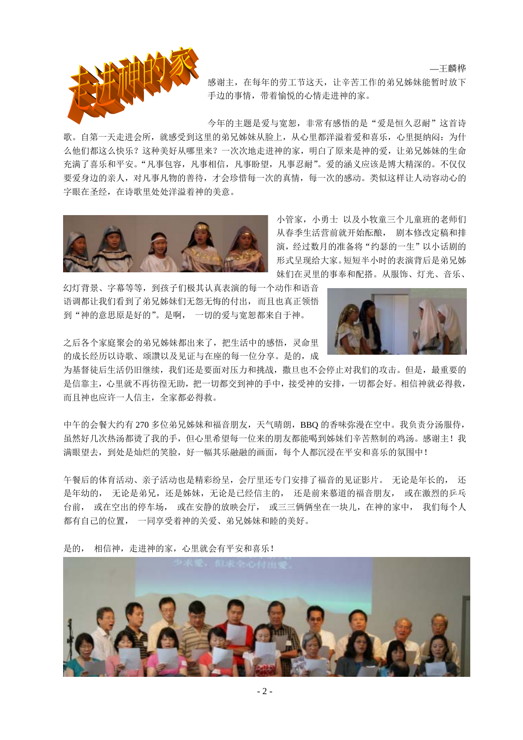

感谢主,在每年的劳工节这天,让辛苦工作的弟兄姊妹能暂时放下 手边的事情,带着愉悦的心情走进神的家。

今年的主题是爱与宽恕,非常有感悟的是"爱是恒久忍耐"这首诗

歌。自第一天走进会所,就感受到这里的弟兄姊妹从脸上,从心里都洋溢着爱和喜乐,心里挺纳闷:为什 么他们都这么快乐?这种美好从哪里来?一次次地走进神的家,明白了原来是神的爱,让弟兄姊妹的生命 充满了喜乐和平安。"凡事包容,凡事相信,凡事盼望,凡事忍耐"。爱的涵义应该是博大精深的。不仅仅 要爱身边的亲人,对凡事凡物的善待,才会珍惜每一次的真情,每一次的感动。类似这样让人动容动心的 字眼在圣经,在诗歌里处处洋溢着神的美意。



小管家,小勇士 以及小牧童三个儿童班的老师们 从春季生活营前就开始酝酿, 剧本修改定稿和排 演,经过数月的准备将"约瑟的一生"以小话剧的 形式呈现给大家。短短半小时的表演背后是弟兄姊 妹们在灵里的事奉和配搭。从服饰、灯光、音乐、

幻灯背景、字幕等等,到孩子们极其认真表演的每一个动作和语音 语调都让我们看到了弟兄姊妹们无怨无悔的付出,而且也真正领悟 到"神的意思原是好的"。是啊, 一切的爱与宽恕都来自于神。



—王麟桦

之后各个家庭聚会的弟兄姊妹都出来了,把生活中的感悟,灵命里 的成长经历以诗歌、颂讚以及见证与在座的每一位分享。是的,成

为基督徒后生活仍旧继续,我们还是要面对压力和挑战,撒旦也不会停止对我们的攻击。但是,最重要的 是信靠主,心里就不再彷徨无助,把一切都交到神的手中,接受神的安排,一切都会好。相信神就必得救, 而且神也应许一人信主,全家都必得救。

中午的会餐大约有 270 多位弟兄姊妹和福音朋友,天气晴朗,BBQ 的香味弥漫在空中。我负责分汤服侍, 虽然好几次热汤都烫了我的手,但心里希望每一位来的朋友都能喝到姊妹们辛苦熬制的鸡汤。感谢主!我 满眼望去,到处是灿烂的笑脸,好一幅其乐融融的画面,每个人都沉浸在平安和喜乐的氛围中!

午餐后的体育活动、亲子活动也是精彩纷呈,会厅里还专门安排了福音的见证影片。 无论是年长的, 还 是年幼的, 无论是弟兄, 还是姊妹, 无论是已经信主的, 还是前来慕道的福音朋友, 或在激烈的乒乓 台前, 或在空出的停车场, 或在安静的放映会厅, 或三三俩俩坐在一块儿,在神的家中, 我们每个人 都有自己的位置, 一同享受着神的关爱、弟兄姊妹和睦的美好。



是的, 相信神,走进神的家,心里就会有平安和喜乐!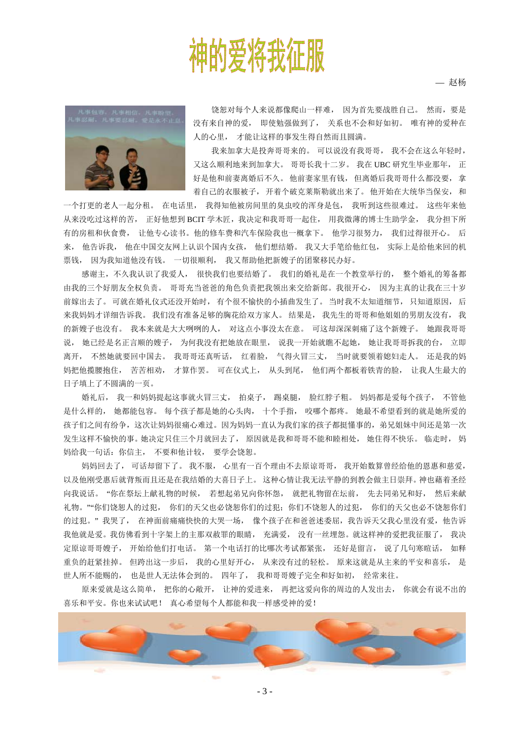# 神的爱将我征服

— 赵杨



饶恕对每个人来说都像爬山一样难, 因为首先要战胜自己。 然而,要是 没有来自神的爱, 即使勉强做到了, 关系也不会和好如初。 唯有神的爱种在 人的心里, 才能让这样的事发生得自然而且圆满。

我来加拿大是投奔哥哥来的。 可以说没有我哥哥, 我不会在这么年轻时, 又这么顺利地来到加拿大。 哥哥长我十二岁。 我在 UBC 研究生毕业那年, 正 好是他和前妻离婚后不久。 他前妻家里有钱, 但离婚后我哥哥什么都没要, 拿 着自己的衣服被子, 开着个破克莱斯勒就出来了。 他开始在大统华当保安, 和

一个打更的老人一起分租。 在电话里, 我得知他被房间里的臭虫咬的浑身是包, 我听到这些很难过。 这些年来他 从来没吃过这样的苦, 正好他想到 BCIT 学木匠, 我决定和我哥哥一起住, 用我微薄的博士生助学金, 我分担下所 有的房租和伙食费, 让他专心读书。他的修车费和汽车保险我也一概拿下。 他学习很努力, 我们过得很开心。 后 来, 他告诉我, 他在中国交友网上认识个国内女孩, 他们想结婚。 我又大手笔给他红包, 实际上是给他来回的机 票钱, 因为我知道他没有钱。 一切很顺利, 我又帮助他把新嫂子的团聚移民办好。

感谢主,不久我认识了我爱人, 很快我们也要结婚了。 我们的婚礼是在一个教堂举行的, 整个婚礼的筹备都 由我的三个好朋友全权负责。 哥哥充当爸爸的角色负责把我领出来交给新郎。我很开心, 因为主真的让我在三十岁 前嫁出去了。 可就在婚礼仪式还没开始时, 有个很不愉快的小插曲发生了。 当时我不太知道细节, 只知道原因, 后 来我妈妈才详细告诉我。 我们没有准备足够的胸花给双方家人。 结果是, 我先生的哥哥和他姐姐的男朋友没有, 我 的新嫂子也没有。 我本来就是大大咧咧的人, 对这点小事没太在意。 可这却深深刺痛了这个新嫂子。 她跟我哥哥 说, 她已经是名正言顺的嫂子, 为何我没有把她放在眼里, 说我一开始就瞧不起她, 她让我哥哥拆我的台, 立即 离开, 不然她就要回中国去。 我哥哥还真听话, 红着脸, 气得火冒三丈, 当时就要领着媳妇走人。 还是我的妈 妈把他揽腰抱住, 苦苦相劝, 才算作罢。 可在仪式上, 从头到尾, 他们两个都板着铁青的脸, 让我人生最大的 日子填上了不圆满的一页。

婚礼后, 我一和妈妈提起这事就火冒三丈, 拍桌子, 踢桌腿, 脸红脖子粗。 妈妈都是爱每个孩子, 不管他 是什么样的, 她都能包容。 每个孩子都是她的心头肉, 十个手指, 咬哪个都疼。 她最不希望看到的就是她所爱的 孩子们之间有纷争,这次让妈妈很痛心难过。因为妈妈一直认为我们家的孩子都挺懂事的,弟兄姐妹中间还是第一次 发生这样不愉快的事。她决定只住三个月就回去了, 原因就是我和哥哥不能和睦相处, 她住得不快乐。 临走时, 妈 妈给我一句话:你信主, 不要和他计较, 要学会饶恕。

妈妈回去了, 可话却留下了。 我不服, 心里有一百个理由不去原谅哥哥, 我开始数算曾经给他的恩惠和慈爱, 以及他刚受惠后就背叛而且还是在我结婚的大喜日子上。 这种心情让我无法平静的到教会做主日崇拜。神也藉着圣经 向我说话。 "你在祭坛上献礼物的时候, 若想起弟兄向你怀怨, 就把礼物留在坛前, 先去同弟兄和好, 然后来献 礼物。""你们饶恕人的过犯, 你们的天父也必饶恕你们的过犯;你们不饶恕人的过犯, 你们的天父也必不饶恕你们 的过犯。" 我哭了, 在神面前痛痛快快的大哭一场, 像个孩子在和爸爸述委屈,我告诉天父我心里没有爱,他告诉 我他就是爱。我仿佛看到十字架上的主那双赦罪的眼睛, 充满爱, 没有一丝埋怨。就这样神的爱把我征服了, 我决 定原谅哥哥嫂子, 开始给他们打电话。 第一个电话打的比哪次考试都紧张, 还好是留言, 说了几句寒暄话, 如释 重负的赶紧挂掉。 但跨出这一步后, 我的心里好开心, 从来没有过的轻松。 原来这就是从主来的平安和喜乐, 是 世人所不能赐的, 也是世人无法体会到的。 四年了, 我和哥哥嫂子完全和好如初, 经常来往。

原来爱就是这么简单, 把你的心敞开, 让神的爱进来, 再把这爱向你的周边的人发出去, 你就会有说不出的 喜乐和平安。你也来试试吧! 真心希望每个人都能和我一样感受神的爱!